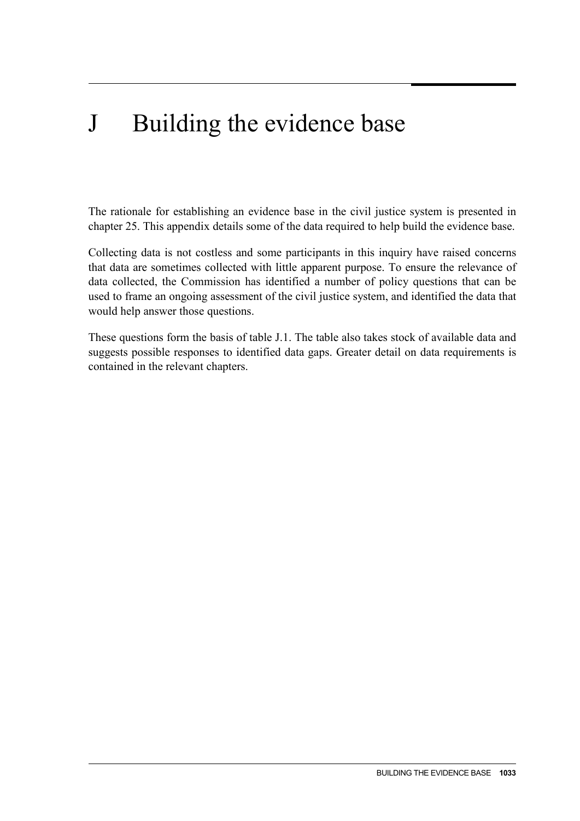# J Building the evidence base

The rationale for establishing an evidence base in the civil justice system is presented in chapter 25. This appendix details some of the data required to help build the evidence base.

Collecting data is not costless and some participants in this inquiry have raised concerns that data are sometimes collected with little apparent purpose. To ensure the relevance of data collected, the Commission has identified a number of policy questions that can be used to frame an ongoing assessment of the civil justice system, and identified the data that would help answer those questions.

These questions form the basis of table J.1. The table also takes stock of available data and suggests possible responses to identified data gaps. Greater detail on data requirements is contained in the relevant chapters.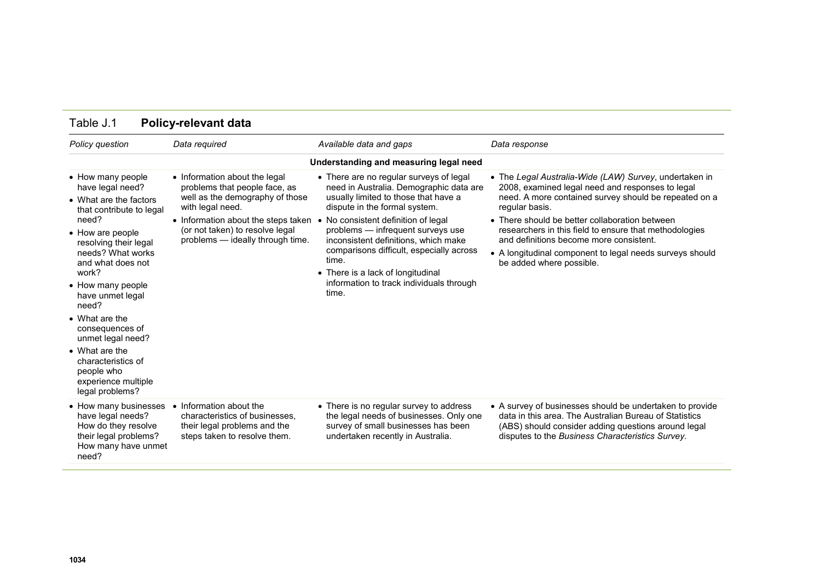| Policy question                                                                                                                                                                                                                                                                                                                                                                                                  | Data required                                                                                                                                                                                                                       | Available data and gaps                                                                                                                                                                                                                                                                                                                                                                                                        | Data response                                                                                                                                                                                                                                                                                                                                                                                                                        |
|------------------------------------------------------------------------------------------------------------------------------------------------------------------------------------------------------------------------------------------------------------------------------------------------------------------------------------------------------------------------------------------------------------------|-------------------------------------------------------------------------------------------------------------------------------------------------------------------------------------------------------------------------------------|--------------------------------------------------------------------------------------------------------------------------------------------------------------------------------------------------------------------------------------------------------------------------------------------------------------------------------------------------------------------------------------------------------------------------------|--------------------------------------------------------------------------------------------------------------------------------------------------------------------------------------------------------------------------------------------------------------------------------------------------------------------------------------------------------------------------------------------------------------------------------------|
|                                                                                                                                                                                                                                                                                                                                                                                                                  |                                                                                                                                                                                                                                     | Understanding and measuring legal need                                                                                                                                                                                                                                                                                                                                                                                         |                                                                                                                                                                                                                                                                                                                                                                                                                                      |
| • How many people<br>have legal need?<br>• What are the factors<br>that contribute to legal<br>need?<br>• How are people<br>resolving their legal<br>needs? What works<br>and what does not<br>work?<br>• How many people<br>have unmet legal<br>need?<br>• What are the<br>consequences of<br>unmet legal need?<br>• What are the<br>characteristics of<br>people who<br>experience multiple<br>legal problems? | • Information about the legal<br>problems that people face, as<br>well as the demography of those<br>with legal need.<br>• Information about the steps taken<br>(or not taken) to resolve legal<br>problems - ideally through time. | • There are no regular surveys of legal<br>need in Australia. Demographic data are<br>usually limited to those that have a<br>dispute in the formal system.<br>• No consistent definition of legal<br>problems - infrequent surveys use<br>inconsistent definitions, which make<br>comparisons difficult, especially across<br>time.<br>• There is a lack of longitudinal<br>information to track individuals through<br>time. | • The Legal Australia-Wide (LAW) Survey, undertaken in<br>2008, examined legal need and responses to legal<br>need. A more contained survey should be repeated on a<br>regular basis.<br>• There should be better collaboration between<br>researchers in this field to ensure that methodologies<br>and definitions become more consistent.<br>• A longitudinal component to legal needs surveys should<br>be added where possible. |
| • How many businesses<br>have legal needs?<br>How do they resolve<br>their legal problems?<br>How many have unmet<br>need?                                                                                                                                                                                                                                                                                       | Information about the<br>characteristics of businesses,<br>their legal problems and the<br>steps taken to resolve them.                                                                                                             | • There is no regular survey to address<br>the legal needs of businesses. Only one<br>survey of small businesses has been<br>undertaken recently in Australia.                                                                                                                                                                                                                                                                 | • A survey of businesses should be undertaken to provide<br>data in this area. The Australian Bureau of Statistics<br>(ABS) should consider adding questions around legal<br>disputes to the Business Characteristics Survey.                                                                                                                                                                                                        |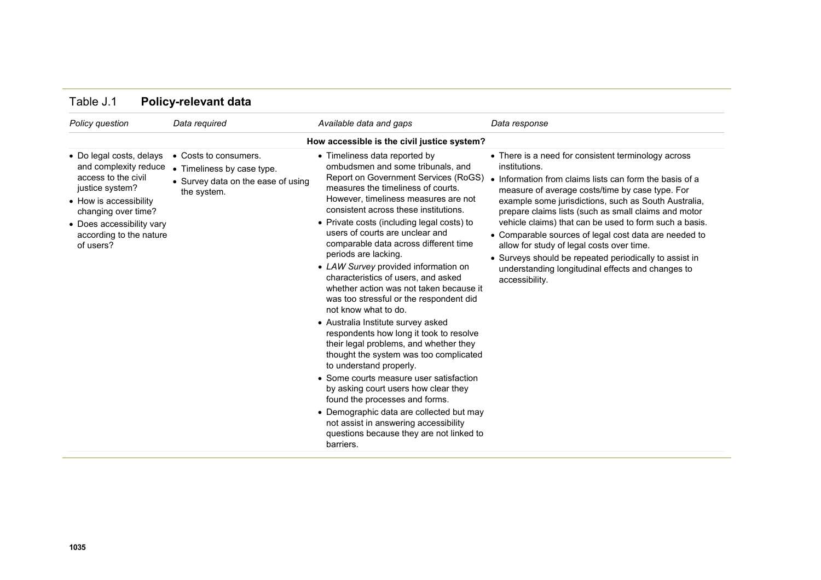| Policy question                                                                                                                                                                                                   | Data required                                                                                            | Available data and gaps                                                                                                                                                                                                                                                                                                                                                                                                                                                                                                                                                                                                                                                                                                                                                                                                                                                                                                                                                                                                                             | Data response                                                                                                                                                                                                                                                                                                                                                                                                                                                                                                                                                                                       |
|-------------------------------------------------------------------------------------------------------------------------------------------------------------------------------------------------------------------|----------------------------------------------------------------------------------------------------------|-----------------------------------------------------------------------------------------------------------------------------------------------------------------------------------------------------------------------------------------------------------------------------------------------------------------------------------------------------------------------------------------------------------------------------------------------------------------------------------------------------------------------------------------------------------------------------------------------------------------------------------------------------------------------------------------------------------------------------------------------------------------------------------------------------------------------------------------------------------------------------------------------------------------------------------------------------------------------------------------------------------------------------------------------------|-----------------------------------------------------------------------------------------------------------------------------------------------------------------------------------------------------------------------------------------------------------------------------------------------------------------------------------------------------------------------------------------------------------------------------------------------------------------------------------------------------------------------------------------------------------------------------------------------------|
|                                                                                                                                                                                                                   |                                                                                                          | How accessible is the civil justice system?                                                                                                                                                                                                                                                                                                                                                                                                                                                                                                                                                                                                                                                                                                                                                                                                                                                                                                                                                                                                         |                                                                                                                                                                                                                                                                                                                                                                                                                                                                                                                                                                                                     |
| • Do legal costs, delays<br>and complexity reduce<br>access to the civil<br>justice system?<br>• How is accessibility<br>changing over time?<br>• Does accessibility vary<br>according to the nature<br>of users? | • Costs to consumers.<br>• Timeliness by case type.<br>• Survey data on the ease of using<br>the system. | • Timeliness data reported by<br>ombudsmen and some tribunals, and<br>Report on Government Services (RoGS)<br>measures the timeliness of courts.<br>However, timeliness measures are not<br>consistent across these institutions.<br>• Private costs (including legal costs) to<br>users of courts are unclear and<br>comparable data across different time<br>periods are lacking.<br>• LAW Survey provided information on<br>characteristics of users, and asked<br>whether action was not taken because it<br>was too stressful or the respondent did<br>not know what to do.<br>• Australia Institute survey asked<br>respondents how long it took to resolve<br>their legal problems, and whether they<br>thought the system was too complicated<br>to understand properly.<br>• Some courts measure user satisfaction<br>by asking court users how clear they<br>found the processes and forms.<br>• Demographic data are collected but may<br>not assist in answering accessibility<br>questions because they are not linked to<br>barriers. | • There is a need for consistent terminology across<br>institutions.<br>• Information from claims lists can form the basis of a<br>measure of average costs/time by case type. For<br>example some jurisdictions, such as South Australia,<br>prepare claims lists (such as small claims and motor<br>vehicle claims) that can be used to form such a basis.<br>• Comparable sources of legal cost data are needed to<br>allow for study of legal costs over time.<br>• Surveys should be repeated periodically to assist in<br>understanding longitudinal effects and changes to<br>accessibility. |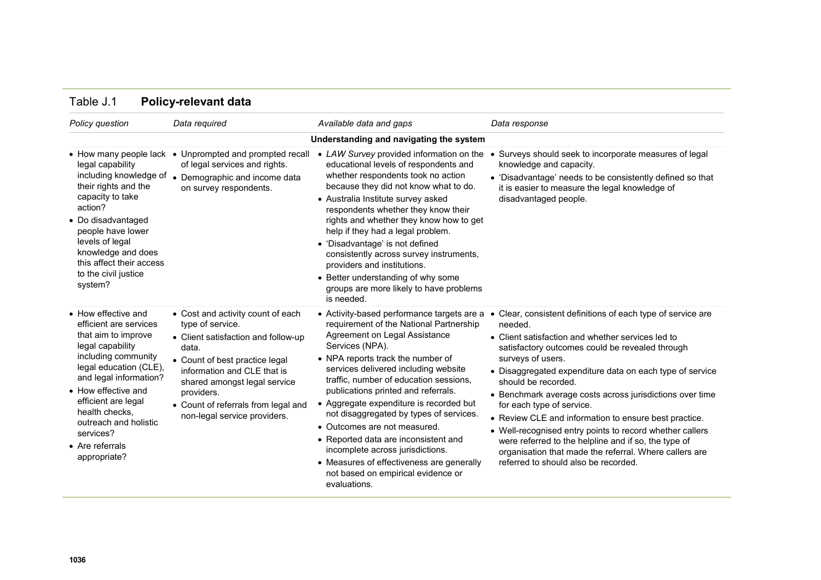| Policy question                                                                                                                                                                                                                                                                                              | Data required                                                                                                                                                                                                                                                                               | Available data and gaps                                                                                                                                                                                                                                                                                                                                                                                                                                                                                                                                                                                      | Data response                                                                                                                                                                                                                                                                                                                                                                                                                                                                                                                                                                                                                                                             |
|--------------------------------------------------------------------------------------------------------------------------------------------------------------------------------------------------------------------------------------------------------------------------------------------------------------|---------------------------------------------------------------------------------------------------------------------------------------------------------------------------------------------------------------------------------------------------------------------------------------------|--------------------------------------------------------------------------------------------------------------------------------------------------------------------------------------------------------------------------------------------------------------------------------------------------------------------------------------------------------------------------------------------------------------------------------------------------------------------------------------------------------------------------------------------------------------------------------------------------------------|---------------------------------------------------------------------------------------------------------------------------------------------------------------------------------------------------------------------------------------------------------------------------------------------------------------------------------------------------------------------------------------------------------------------------------------------------------------------------------------------------------------------------------------------------------------------------------------------------------------------------------------------------------------------------|
|                                                                                                                                                                                                                                                                                                              |                                                                                                                                                                                                                                                                                             | Understanding and navigating the system                                                                                                                                                                                                                                                                                                                                                                                                                                                                                                                                                                      |                                                                                                                                                                                                                                                                                                                                                                                                                                                                                                                                                                                                                                                                           |
| legal capability<br>including knowledge of<br>their rights and the<br>capacity to take<br>action?<br>• Do disadvantaged<br>people have lower<br>levels of legal<br>knowledge and does<br>this affect their access<br>to the civil justice<br>system?                                                         | • How many people lack • Unprompted and prompted recall<br>of legal services and rights.<br>• Demographic and income data<br>on survey respondents.                                                                                                                                         | • LAW Survey provided information on the<br>educational levels of respondents and<br>whether respondents took no action<br>because they did not know what to do.<br>• Australia Institute survey asked<br>respondents whether they know their<br>rights and whether they know how to get<br>help if they had a legal problem.<br>• 'Disadvantage' is not defined<br>consistently across survey instruments,<br>providers and institutions.<br>• Better understanding of why some<br>groups are more likely to have problems<br>is needed.                                                                    | Surveys should seek to incorporate measures of legal<br>knowledge and capacity.<br>• 'Disadvantage' needs to be consistently defined so that<br>it is easier to measure the legal knowledge of<br>disadvantaged people.                                                                                                                                                                                                                                                                                                                                                                                                                                                   |
| • How effective and<br>efficient are services<br>that aim to improve<br>legal capability<br>including community<br>legal education (CLE),<br>and legal information?<br>• How effective and<br>efficient are legal<br>health checks,<br>outreach and holistic<br>services?<br>• Are referrals<br>appropriate? | • Cost and activity count of each<br>type of service.<br>• Client satisfaction and follow-up<br>data.<br>• Count of best practice legal<br>information and CLE that is<br>shared amongst legal service<br>providers.<br>• Count of referrals from legal and<br>non-legal service providers. | • Activity-based performance targets are a<br>requirement of the National Partnership<br>Agreement on Legal Assistance<br>Services (NPA).<br>• NPA reports track the number of<br>services delivered including website<br>traffic, number of education sessions,<br>publications printed and referrals.<br>• Aggregate expenditure is recorded but<br>not disaggregated by types of services.<br>• Outcomes are not measured.<br>• Reported data are inconsistent and<br>incomplete across jurisdictions.<br>• Measures of effectiveness are generally<br>not based on empirical evidence or<br>evaluations. | Clear, consistent definitions of each type of service are<br>$\bullet$<br>needed.<br>• Client satisfaction and whether services led to<br>satisfactory outcomes could be revealed through<br>surveys of users.<br>• Disaggregated expenditure data on each type of service<br>should be recorded.<br>• Benchmark average costs across jurisdictions over time<br>for each type of service.<br>• Review CLE and information to ensure best practice.<br>• Well-recognised entry points to record whether callers<br>were referred to the helpline and if so, the type of<br>organisation that made the referral. Where callers are<br>referred to should also be recorded. |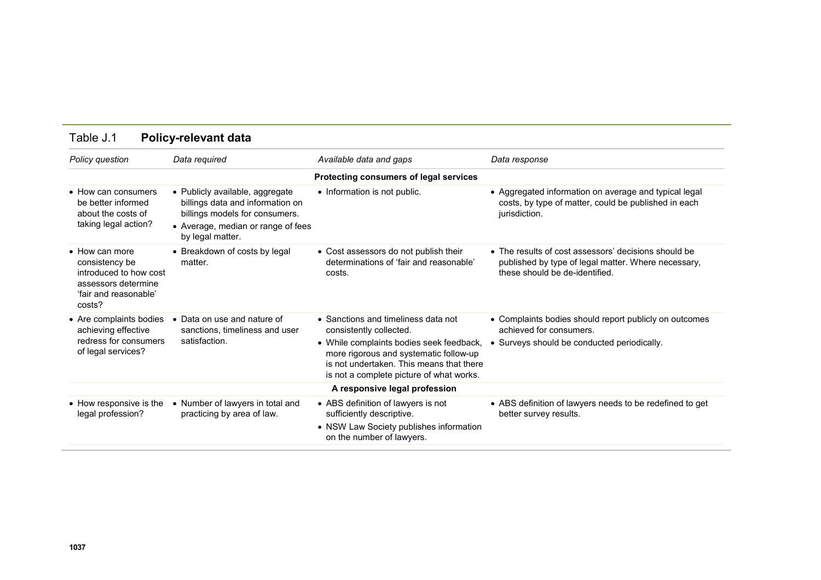| Policy question                                                                                                              | Data required                                                                                                                                                   | Available data and gaps                                                                                                                                                                                                                      | Data response                                                                                                                                         |
|------------------------------------------------------------------------------------------------------------------------------|-----------------------------------------------------------------------------------------------------------------------------------------------------------------|----------------------------------------------------------------------------------------------------------------------------------------------------------------------------------------------------------------------------------------------|-------------------------------------------------------------------------------------------------------------------------------------------------------|
|                                                                                                                              |                                                                                                                                                                 | Protecting consumers of legal services                                                                                                                                                                                                       |                                                                                                                                                       |
| • How can consumers<br>be better informed<br>about the costs of<br>taking legal action?                                      | • Publicly available, aggregate<br>billings data and information on<br>billings models for consumers.<br>• Average, median or range of fees<br>by legal matter. | • Information is not public.                                                                                                                                                                                                                 | • Aggregated information on average and typical legal<br>costs, by type of matter, could be published in each<br>jurisdiction.                        |
| $\bullet$ How can more<br>consistency be<br>introduced to how cost<br>assessors determine<br>'fair and reasonable'<br>costs? | • Breakdown of costs by legal<br>matter.                                                                                                                        | • Cost assessors do not publish their<br>determinations of 'fair and reasonable'<br>costs.                                                                                                                                                   | $\bullet$ The results of cost assessors' decisions should be<br>published by type of legal matter. Where necessary,<br>these should be de-identified. |
| • Are complaints bodies<br>achieving effective<br>redress for consumers<br>of legal services?                                | • Data on use and nature of<br>sanctions, timeliness and user<br>satisfaction.                                                                                  | • Sanctions and timeliness data not<br>consistently collected.<br>• While complaints bodies seek feedback,<br>more rigorous and systematic follow-up<br>is not undertaken. This means that there<br>is not a complete picture of what works. | • Complaints bodies should report publicly on outcomes<br>achieved for consumers.<br>• Surveys should be conducted periodically.                      |
|                                                                                                                              |                                                                                                                                                                 | A responsive legal profession                                                                                                                                                                                                                |                                                                                                                                                       |
| • How responsive is the<br>legal profession?                                                                                 | • Number of lawyers in total and<br>practicing by area of law.                                                                                                  | • ABS definition of lawyers is not<br>sufficiently descriptive.<br>• NSW Law Society publishes information<br>on the number of lawyers.                                                                                                      | • ABS definition of lawyers needs to be redefined to get<br>better survey results.                                                                    |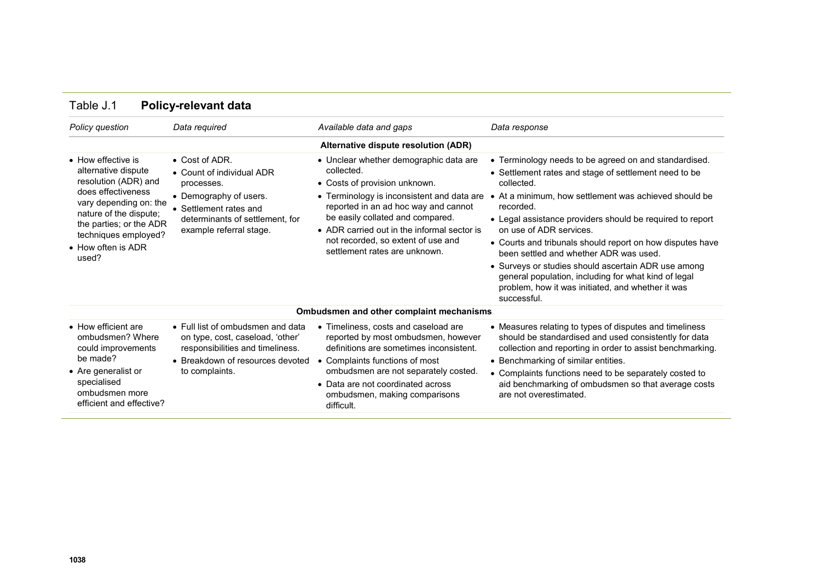| Policy question                                                                                                                                                                                                               | Data required                                                                                                                                                                       | Available data and gaps                                                                                                                                                                                                                                                                                                               | Data response                                                                                                                                                                                                                                                                                                                                                                                                                                                                                                                                                                        |
|-------------------------------------------------------------------------------------------------------------------------------------------------------------------------------------------------------------------------------|-------------------------------------------------------------------------------------------------------------------------------------------------------------------------------------|---------------------------------------------------------------------------------------------------------------------------------------------------------------------------------------------------------------------------------------------------------------------------------------------------------------------------------------|--------------------------------------------------------------------------------------------------------------------------------------------------------------------------------------------------------------------------------------------------------------------------------------------------------------------------------------------------------------------------------------------------------------------------------------------------------------------------------------------------------------------------------------------------------------------------------------|
|                                                                                                                                                                                                                               |                                                                                                                                                                                     | Alternative dispute resolution (ADR)                                                                                                                                                                                                                                                                                                  |                                                                                                                                                                                                                                                                                                                                                                                                                                                                                                                                                                                      |
| • How effective is<br>alternative dispute<br>resolution (ADR) and<br>does effectiveness<br>vary depending on: the<br>nature of the dispute;<br>the parties; or the ADR<br>techniques employed?<br>• How often is ADR<br>used? | $\bullet$ Cost of ADR.<br>• Count of individual ADR<br>processes.<br>• Demography of users.<br>• Settlement rates and<br>determinants of settlement, for<br>example referral stage. | • Unclear whether demographic data are<br>collected.<br>• Costs of provision unknown.<br>• Terminology is inconsistent and data are<br>reported in an ad hoc way and cannot<br>be easily collated and compared.<br>• ADR carried out in the informal sector is<br>not recorded, so extent of use and<br>settlement rates are unknown. | • Terminology needs to be agreed on and standardised.<br>• Settlement rates and stage of settlement need to be<br>collected.<br>• At a minimum, how settlement was achieved should be<br>recorded.<br>• Legal assistance providers should be required to report<br>on use of ADR services.<br>• Courts and tribunals should report on how disputes have<br>been settled and whether ADR was used.<br>• Surveys or studies should ascertain ADR use among<br>general population, including for what kind of legal<br>problem, how it was initiated, and whether it was<br>successful. |
|                                                                                                                                                                                                                               |                                                                                                                                                                                     | Ombudsmen and other complaint mechanisms                                                                                                                                                                                                                                                                                              |                                                                                                                                                                                                                                                                                                                                                                                                                                                                                                                                                                                      |
| • How efficient are<br>ombudsmen? Where<br>could improvements<br>be made?<br>• Are generalist or<br>specialised<br>ombudsmen more<br>efficient and effective?                                                                 | • Full list of ombudsmen and data<br>on type, cost, caseload, 'other'<br>responsibilities and timeliness.<br>• Breakdown of resources devoted<br>to complaints.                     | • Timeliness, costs and caseload are<br>reported by most ombudsmen, however<br>definitions are sometimes inconsistent.<br>• Complaints functions of most<br>ombudsmen are not separately costed.<br>• Data are not coordinated across<br>ombudsmen, making comparisons<br>difficult.                                                  | • Measures relating to types of disputes and timeliness<br>should be standardised and used consistently for data<br>collection and reporting in order to assist benchmarking.<br>• Benchmarking of similar entities.<br>• Complaints functions need to be separately costed to<br>aid benchmarking of ombudsmen so that average costs<br>are not overestimated.                                                                                                                                                                                                                      |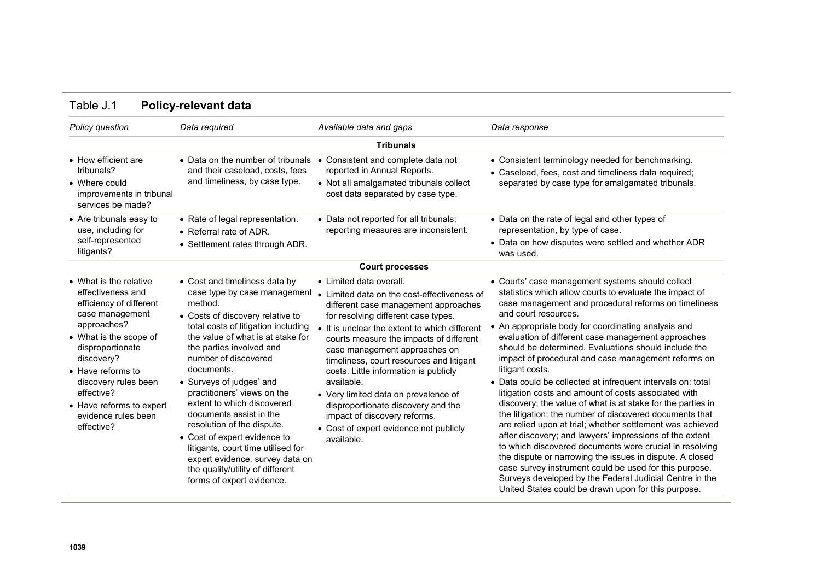| Policy question                                                                                                                                                                                                                                                                                  | Data required                                                                                                                                                                                                                                                                                                                                                                                                                                                                                                                                                                          | Available data and gaps                                                                                                                                                                                                                                                                                                                                                                                                                                                                                                                                     | Data response                                                                                                                                                                                                                                                                                                                                                                                                                                                                                                                                                                                                                                                                                                                                                                                                                                                                                                                                                                                                                                                                                                          |
|--------------------------------------------------------------------------------------------------------------------------------------------------------------------------------------------------------------------------------------------------------------------------------------------------|----------------------------------------------------------------------------------------------------------------------------------------------------------------------------------------------------------------------------------------------------------------------------------------------------------------------------------------------------------------------------------------------------------------------------------------------------------------------------------------------------------------------------------------------------------------------------------------|-------------------------------------------------------------------------------------------------------------------------------------------------------------------------------------------------------------------------------------------------------------------------------------------------------------------------------------------------------------------------------------------------------------------------------------------------------------------------------------------------------------------------------------------------------------|------------------------------------------------------------------------------------------------------------------------------------------------------------------------------------------------------------------------------------------------------------------------------------------------------------------------------------------------------------------------------------------------------------------------------------------------------------------------------------------------------------------------------------------------------------------------------------------------------------------------------------------------------------------------------------------------------------------------------------------------------------------------------------------------------------------------------------------------------------------------------------------------------------------------------------------------------------------------------------------------------------------------------------------------------------------------------------------------------------------------|
|                                                                                                                                                                                                                                                                                                  |                                                                                                                                                                                                                                                                                                                                                                                                                                                                                                                                                                                        | <b>Tribunals</b>                                                                                                                                                                                                                                                                                                                                                                                                                                                                                                                                            |                                                                                                                                                                                                                                                                                                                                                                                                                                                                                                                                                                                                                                                                                                                                                                                                                                                                                                                                                                                                                                                                                                                        |
| • How efficient are<br>tribunals?<br>• Where could<br>improvements in tribunal<br>services be made?                                                                                                                                                                                              | • Data on the number of tribunals<br>and their caseload, costs, fees<br>and timeliness, by case type.                                                                                                                                                                                                                                                                                                                                                                                                                                                                                  | Consistent and complete data not<br>$\bullet$<br>reported in Annual Reports.<br>• Not all amalgamated tribunals collect<br>cost data separated by case type.                                                                                                                                                                                                                                                                                                                                                                                                | • Consistent terminology needed for benchmarking.<br>• Caseload, fees, cost and timeliness data required;<br>separated by case type for amalgamated tribunals.                                                                                                                                                                                                                                                                                                                                                                                                                                                                                                                                                                                                                                                                                                                                                                                                                                                                                                                                                         |
| • Are tribunals easy to<br>use, including for<br>self-represented<br>litigants?                                                                                                                                                                                                                  | • Rate of legal representation.<br>• Referral rate of ADR.<br>• Settlement rates through ADR.                                                                                                                                                                                                                                                                                                                                                                                                                                                                                          | • Data not reported for all tribunals;<br>reporting measures are inconsistent.                                                                                                                                                                                                                                                                                                                                                                                                                                                                              | • Data on the rate of legal and other types of<br>representation, by type of case.<br>• Data on how disputes were settled and whether ADR<br>was used.                                                                                                                                                                                                                                                                                                                                                                                                                                                                                                                                                                                                                                                                                                                                                                                                                                                                                                                                                                 |
|                                                                                                                                                                                                                                                                                                  |                                                                                                                                                                                                                                                                                                                                                                                                                                                                                                                                                                                        | <b>Court processes</b>                                                                                                                                                                                                                                                                                                                                                                                                                                                                                                                                      |                                                                                                                                                                                                                                                                                                                                                                                                                                                                                                                                                                                                                                                                                                                                                                                                                                                                                                                                                                                                                                                                                                                        |
| • What is the relative<br>effectiveness and<br>efficiency of different<br>case management<br>approaches?<br>• What is the scope of<br>disproportionate<br>discovery?<br>• Have reforms to<br>discovery rules been<br>effective?<br>• Have reforms to expert<br>evidence rules been<br>effective? | • Cost and timeliness data by<br>case type by case management<br>method.<br>• Costs of discovery relative to<br>total costs of litigation including<br>the value of what is at stake for<br>the parties involved and<br>number of discovered<br>documents.<br>• Surveys of judges' and<br>practitioners' views on the<br>extent to which discovered<br>documents assist in the<br>resolution of the dispute.<br>• Cost of expert evidence to<br>litigants, court time utilised for<br>expert evidence, survey data on<br>the quality/utility of different<br>forms of expert evidence. | • Limited data overall.<br>• Limited data on the cost-effectiveness of<br>different case management approaches<br>for resolving different case types.<br>• It is unclear the extent to which different<br>courts measure the impacts of different<br>case management approaches on<br>timeliness, court resources and litigant<br>costs. Little information is publicly<br>available.<br>• Very limited data on prevalence of<br>disproportionate discovery and the<br>impact of discovery reforms.<br>• Cost of expert evidence not publicly<br>available. | • Courts' case management systems should collect<br>statistics which allow courts to evaluate the impact of<br>case management and procedural reforms on timeliness<br>and court resources.<br>• An appropriate body for coordinating analysis and<br>evaluation of different case management approaches<br>should be determined. Evaluations should include the<br>impact of procedural and case management reforms on<br>litigant costs.<br>• Data could be collected at infrequent intervals on: total<br>litigation costs and amount of costs associated with<br>discovery; the value of what is at stake for the parties in<br>the litigation; the number of discovered documents that<br>are relied upon at trial; whether settlement was achieved<br>after discovery; and lawyers' impressions of the extent<br>to which discovered documents were crucial in resolving<br>the dispute or narrowing the issues in dispute. A closed<br>case survey instrument could be used for this purpose.<br>Surveys developed by the Federal Judicial Centre in the<br>United States could be drawn upon for this purpose. |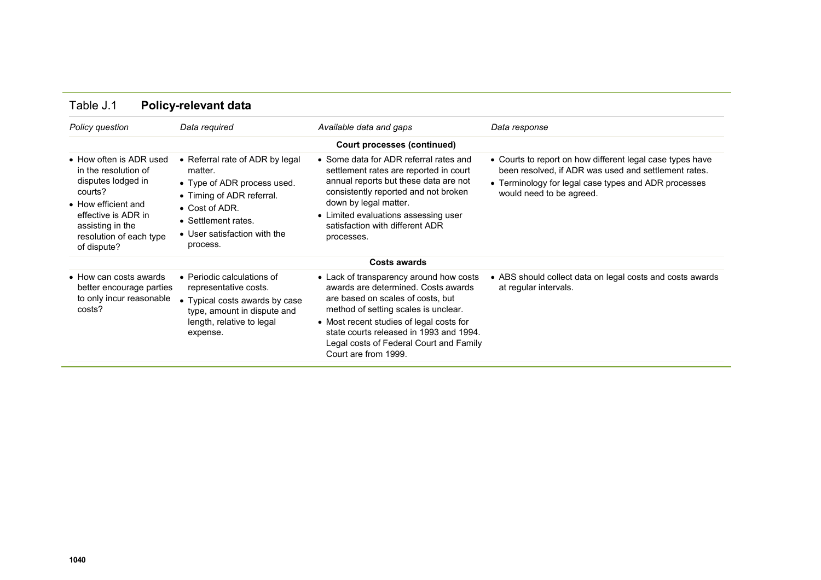| Policy question                                                                                                                                                                              | Data required                                                                                                                                                                               | Available data and gaps                                                                                                                                                                                                                                                                                               | Data response                                                                                                                                                                                         |
|----------------------------------------------------------------------------------------------------------------------------------------------------------------------------------------------|---------------------------------------------------------------------------------------------------------------------------------------------------------------------------------------------|-----------------------------------------------------------------------------------------------------------------------------------------------------------------------------------------------------------------------------------------------------------------------------------------------------------------------|-------------------------------------------------------------------------------------------------------------------------------------------------------------------------------------------------------|
|                                                                                                                                                                                              |                                                                                                                                                                                             | Court processes (continued)                                                                                                                                                                                                                                                                                           |                                                                                                                                                                                                       |
| • How often is ADR used<br>in the resolution of<br>disputes lodged in<br>courts?<br>• How efficient and<br>effective is ADR in<br>assisting in the<br>resolution of each type<br>of dispute? | • Referral rate of ADR by legal<br>matter.<br>• Type of ADR process used.<br>• Timing of ADR referral.<br>• Cost of ADR.<br>• Settlement rates.<br>• User satisfaction with the<br>process. | • Some data for ADR referral rates and<br>settlement rates are reported in court<br>annual reports but these data are not<br>consistently reported and not broken<br>down by legal matter.<br>• Limited evaluations assessing user<br>satisfaction with different ADR<br>processes.                                   | • Courts to report on how different legal case types have<br>been resolved, if ADR was used and settlement rates.<br>• Terminology for legal case types and ADR processes<br>would need to be agreed. |
|                                                                                                                                                                                              |                                                                                                                                                                                             | <b>Costs awards</b>                                                                                                                                                                                                                                                                                                   |                                                                                                                                                                                                       |
| $\bullet$ How can costs awards<br>better encourage parties<br>to only incur reasonable<br>costs?                                                                                             | • Periodic calculations of<br>representative costs.<br>Typical costs awards by case<br>type, amount in dispute and<br>length, relative to legal<br>expense.                                 | • Lack of transparency around how costs<br>awards are determined. Costs awards<br>are based on scales of costs, but<br>method of setting scales is unclear.<br>• Most recent studies of legal costs for<br>state courts released in 1993 and 1994.<br>Legal costs of Federal Court and Family<br>Court are from 1999. | • ABS should collect data on legal costs and costs awards<br>at regular intervals.                                                                                                                    |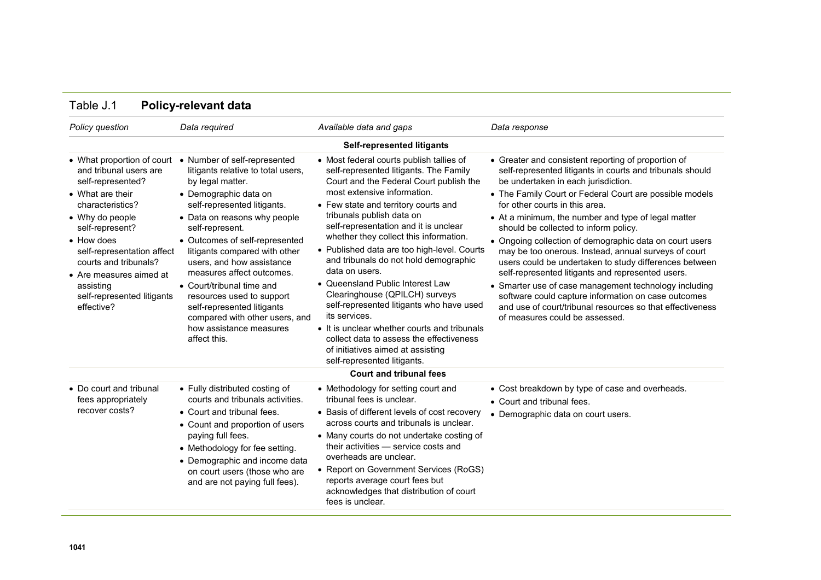| Policy question                                                                                                                                                                                                                                                                                                          | Data required                                                                                                                                                                                                                                                                                                                                                                                                                                                                                       | Available data and gaps                                                                                                                                                                                                                                                                                                                                                                                                                                                                                                                                                                                                                                                                                                           | Data response                                                                                                                                                                                                                                                                                                                                                                                                                                                                                                                                                                                                                                                                                                                                                                                         |
|--------------------------------------------------------------------------------------------------------------------------------------------------------------------------------------------------------------------------------------------------------------------------------------------------------------------------|-----------------------------------------------------------------------------------------------------------------------------------------------------------------------------------------------------------------------------------------------------------------------------------------------------------------------------------------------------------------------------------------------------------------------------------------------------------------------------------------------------|-----------------------------------------------------------------------------------------------------------------------------------------------------------------------------------------------------------------------------------------------------------------------------------------------------------------------------------------------------------------------------------------------------------------------------------------------------------------------------------------------------------------------------------------------------------------------------------------------------------------------------------------------------------------------------------------------------------------------------------|-------------------------------------------------------------------------------------------------------------------------------------------------------------------------------------------------------------------------------------------------------------------------------------------------------------------------------------------------------------------------------------------------------------------------------------------------------------------------------------------------------------------------------------------------------------------------------------------------------------------------------------------------------------------------------------------------------------------------------------------------------------------------------------------------------|
|                                                                                                                                                                                                                                                                                                                          |                                                                                                                                                                                                                                                                                                                                                                                                                                                                                                     | Self-represented litigants                                                                                                                                                                                                                                                                                                                                                                                                                                                                                                                                                                                                                                                                                                        |                                                                                                                                                                                                                                                                                                                                                                                                                                                                                                                                                                                                                                                                                                                                                                                                       |
| • What proportion of court<br>and tribunal users are<br>self-represented?<br>• What are their<br>characteristics?<br>• Why do people<br>self-represent?<br>• How does<br>self-representation affect<br>courts and tribunals?<br>$\bullet$ Are measures aimed at<br>assisting<br>self-represented litigants<br>effective? | • Number of self-represented<br>litigants relative to total users,<br>by legal matter.<br>• Demographic data on<br>self-represented litigants.<br>• Data on reasons why people<br>self-represent.<br>• Outcomes of self-represented<br>litigants compared with other<br>users, and how assistance<br>measures affect outcomes.<br>• Court/tribunal time and<br>resources used to support<br>self-represented litigants<br>compared with other users, and<br>how assistance measures<br>affect this. | • Most federal courts publish tallies of<br>self-represented litigants. The Family<br>Court and the Federal Court publish the<br>most extensive information.<br>• Few state and territory courts and<br>tribunals publish data on<br>self-representation and it is unclear<br>whether they collect this information.<br>• Published data are too high-level. Courts<br>and tribunals do not hold demographic<br>data on users.<br>• Queensland Public Interest Law<br>Clearinghouse (QPILCH) surveys<br>self-represented litigants who have used<br>its services.<br>• It is unclear whether courts and tribunals<br>collect data to assess the effectiveness<br>of initiatives aimed at assisting<br>self-represented litigants. | • Greater and consistent reporting of proportion of<br>self-represented litigants in courts and tribunals should<br>be undertaken in each jurisdiction.<br>• The Family Court or Federal Court are possible models<br>for other courts in this area.<br>• At a minimum, the number and type of legal matter<br>should be collected to inform policy.<br>• Ongoing collection of demographic data on court users<br>may be too onerous. Instead, annual surveys of court<br>users could be undertaken to study differences between<br>self-represented litigants and represented users.<br>• Smarter use of case management technology including<br>software could capture information on case outcomes<br>and use of court/tribunal resources so that effectiveness<br>of measures could be assessed. |
|                                                                                                                                                                                                                                                                                                                          |                                                                                                                                                                                                                                                                                                                                                                                                                                                                                                     | <b>Court and tribunal fees</b>                                                                                                                                                                                                                                                                                                                                                                                                                                                                                                                                                                                                                                                                                                    |                                                                                                                                                                                                                                                                                                                                                                                                                                                                                                                                                                                                                                                                                                                                                                                                       |
| • Do court and tribunal<br>fees appropriately<br>recover costs?                                                                                                                                                                                                                                                          | • Fully distributed costing of<br>courts and tribunals activities.<br>• Court and tribunal fees.<br>• Count and proportion of users<br>paying full fees.<br>• Methodology for fee setting.<br>• Demographic and income data<br>on court users (those who are                                                                                                                                                                                                                                        | • Methodology for setting court and<br>tribunal fees is unclear.<br>• Basis of different levels of cost recovery<br>across courts and tribunals is unclear.<br>• Many courts do not undertake costing of<br>their activities - service costs and<br>overheads are unclear.<br>• Report on Government Services (RoGS)                                                                                                                                                                                                                                                                                                                                                                                                              | • Cost breakdown by type of case and overheads.<br>• Court and tribunal fees.<br>• Demographic data on court users.                                                                                                                                                                                                                                                                                                                                                                                                                                                                                                                                                                                                                                                                                   |

reports average court fees but acknowledges that distribution of court

fees is unclear.

## Table J.1 **Policy-relevant data**

and are not paying full fees).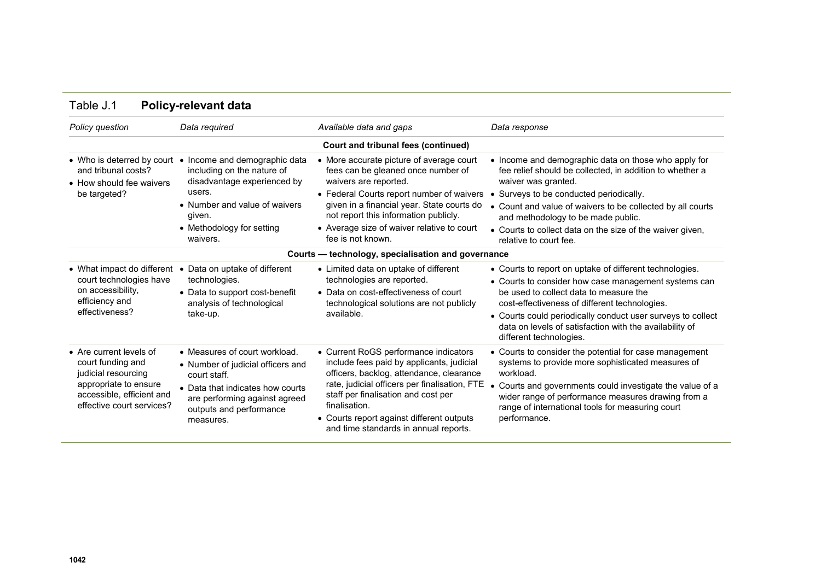| Policy question                                                                                                                                        | Data required                                                                                                                                                                                       | Available data and gaps                                                                                                                                                                                                                                                                                                       | Data response                                                                                                                                                                                                                                                                                                                                                                 |
|--------------------------------------------------------------------------------------------------------------------------------------------------------|-----------------------------------------------------------------------------------------------------------------------------------------------------------------------------------------------------|-------------------------------------------------------------------------------------------------------------------------------------------------------------------------------------------------------------------------------------------------------------------------------------------------------------------------------|-------------------------------------------------------------------------------------------------------------------------------------------------------------------------------------------------------------------------------------------------------------------------------------------------------------------------------------------------------------------------------|
|                                                                                                                                                        |                                                                                                                                                                                                     | <b>Court and tribunal fees (continued)</b>                                                                                                                                                                                                                                                                                    |                                                                                                                                                                                                                                                                                                                                                                               |
| • Who is deterred by court<br>and tribunal costs?<br>• How should fee waivers<br>be targeted?                                                          | Income and demographic data<br>$\bullet$<br>including on the nature of<br>disadvantage experienced by<br>users.<br>• Number and value of waivers<br>given.<br>• Methodology for setting<br>waivers. | • More accurate picture of average court<br>fees can be gleaned once number of<br>waivers are reported.<br>• Federal Courts report number of waivers<br>given in a financial year. State courts do<br>not report this information publicly.<br>• Average size of waiver relative to court<br>fee is not known.                | • Income and demographic data on those who apply for<br>fee relief should be collected, in addition to whether a<br>waiver was granted.<br>• Surveys to be conducted periodically.<br>• Count and value of waivers to be collected by all courts<br>and methodology to be made public.<br>• Courts to collect data on the size of the waiver given,<br>relative to court fee. |
|                                                                                                                                                        |                                                                                                                                                                                                     | Courts - technology, specialisation and governance                                                                                                                                                                                                                                                                            |                                                                                                                                                                                                                                                                                                                                                                               |
|                                                                                                                                                        |                                                                                                                                                                                                     |                                                                                                                                                                                                                                                                                                                               |                                                                                                                                                                                                                                                                                                                                                                               |
| • What impact do different<br>court technologies have<br>on accessibility,<br>efficiency and<br>effectiveness?                                         | Data on uptake of different<br>technologies.<br>• Data to support cost-benefit<br>analysis of technological<br>take-up.                                                                             | • Limited data on uptake of different<br>technologies are reported.<br>• Data on cost-effectiveness of court<br>technological solutions are not publicly<br>available.                                                                                                                                                        | • Courts to report on uptake of different technologies.<br>• Courts to consider how case management systems can<br>be used to collect data to measure the<br>cost-effectiveness of different technologies.<br>• Courts could periodically conduct user surveys to collect<br>data on levels of satisfaction with the availability of<br>different technologies.               |
| • Are current levels of<br>court funding and<br>judicial resourcing<br>appropriate to ensure<br>accessible, efficient and<br>effective court services? | • Measures of court workload.<br>• Number of judicial officers and<br>court staff.<br>• Data that indicates how courts<br>are performing against agreed<br>outputs and performance<br>measures.     | • Current RoGS performance indicators<br>include fees paid by applicants, judicial<br>officers, backlog, attendance, clearance<br>rate, judicial officers per finalisation, FTE<br>staff per finalisation and cost per<br>finalisation.<br>• Courts report against different outputs<br>and time standards in annual reports. | • Courts to consider the potential for case management<br>systems to provide more sophisticated measures of<br>workload.<br>Courts and governments could investigate the value of a<br>wider range of performance measures drawing from a<br>range of international tools for measuring court<br>performance.                                                                 |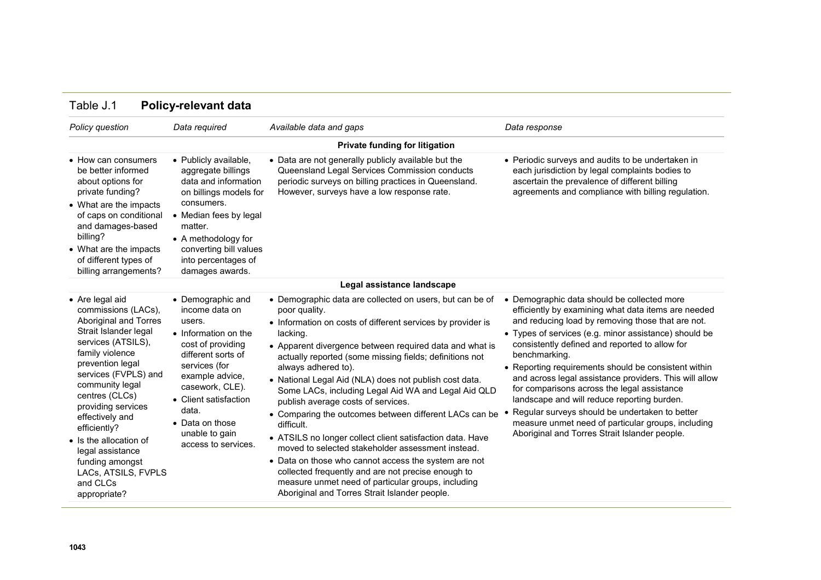| Policy question                                                                                                                                                                                                                                                                                                                                                                                 | Data required                                                                                                                                                                                                                                                         | Available data and gaps                                                                                                                                                                                                                                                                                                                                                                                                                                                                                                                                                                                                                                                                                                                                                                                                                                                 | Data response                                                                                                                                                                                                                                                                                                                                                                                                                                                                                                                                                                                                                                                |
|-------------------------------------------------------------------------------------------------------------------------------------------------------------------------------------------------------------------------------------------------------------------------------------------------------------------------------------------------------------------------------------------------|-----------------------------------------------------------------------------------------------------------------------------------------------------------------------------------------------------------------------------------------------------------------------|-------------------------------------------------------------------------------------------------------------------------------------------------------------------------------------------------------------------------------------------------------------------------------------------------------------------------------------------------------------------------------------------------------------------------------------------------------------------------------------------------------------------------------------------------------------------------------------------------------------------------------------------------------------------------------------------------------------------------------------------------------------------------------------------------------------------------------------------------------------------------|--------------------------------------------------------------------------------------------------------------------------------------------------------------------------------------------------------------------------------------------------------------------------------------------------------------------------------------------------------------------------------------------------------------------------------------------------------------------------------------------------------------------------------------------------------------------------------------------------------------------------------------------------------------|
|                                                                                                                                                                                                                                                                                                                                                                                                 |                                                                                                                                                                                                                                                                       | Private funding for litigation                                                                                                                                                                                                                                                                                                                                                                                                                                                                                                                                                                                                                                                                                                                                                                                                                                          |                                                                                                                                                                                                                                                                                                                                                                                                                                                                                                                                                                                                                                                              |
| • How can consumers<br>be better informed<br>about options for<br>private funding?<br>• What are the impacts<br>of caps on conditional<br>and damages-based<br>billing?<br>• What are the impacts<br>of different types of<br>billing arrangements?                                                                                                                                             | • Publicly available,<br>aggregate billings<br>data and information<br>on billings models for<br>consumers.<br>• Median fees by legal<br>matter.<br>• A methodology for<br>converting bill values<br>into percentages of<br>damages awards.                           | • Data are not generally publicly available but the<br>Queensland Legal Services Commission conducts<br>periodic surveys on billing practices in Queensland.<br>However, surveys have a low response rate.                                                                                                                                                                                                                                                                                                                                                                                                                                                                                                                                                                                                                                                              | • Periodic surveys and audits to be undertaken in<br>each jurisdiction by legal complaints bodies to<br>ascertain the prevalence of different billing<br>agreements and compliance with billing regulation.                                                                                                                                                                                                                                                                                                                                                                                                                                                  |
|                                                                                                                                                                                                                                                                                                                                                                                                 |                                                                                                                                                                                                                                                                       | Legal assistance landscape                                                                                                                                                                                                                                                                                                                                                                                                                                                                                                                                                                                                                                                                                                                                                                                                                                              |                                                                                                                                                                                                                                                                                                                                                                                                                                                                                                                                                                                                                                                              |
| • Are legal aid<br>commissions (LACs),<br>Aboriginal and Torres<br>Strait Islander legal<br>services (ATSILS),<br>family violence<br>prevention legal<br>services (FVPLS) and<br>community legal<br>centres (CLCs)<br>providing services<br>effectively and<br>efficiently?<br>• Is the allocation of<br>legal assistance<br>funding amongst<br>LACs, ATSILS, FVPLS<br>and CLCs<br>appropriate? | • Demographic and<br>income data on<br>users.<br>• Information on the<br>cost of providing<br>different sorts of<br>services (for<br>example advice,<br>casework, CLE).<br>• Client satisfaction<br>data.<br>• Data on those<br>unable to gain<br>access to services. | • Demographic data are collected on users, but can be of<br>poor quality.<br>• Information on costs of different services by provider is<br>lacking.<br>• Apparent divergence between required data and what is<br>actually reported (some missing fields; definitions not<br>always adhered to).<br>• National Legal Aid (NLA) does not publish cost data.<br>Some LACs, including Legal Aid WA and Legal Aid QLD<br>publish average costs of services.<br>• Comparing the outcomes between different LACs can be<br>difficult.<br>• ATSILS no longer collect client satisfaction data. Have<br>moved to selected stakeholder assessment instead.<br>• Data on those who cannot access the system are not<br>collected frequently and are not precise enough to<br>measure unmet need of particular groups, including<br>Aboriginal and Torres Strait Islander people. | • Demographic data should be collected more<br>efficiently by examining what data items are needed<br>and reducing load by removing those that are not.<br>• Types of services (e.g. minor assistance) should be<br>consistently defined and reported to allow for<br>benchmarking.<br>• Reporting requirements should be consistent within<br>and across legal assistance providers. This will allow<br>for comparisons across the legal assistance<br>landscape and will reduce reporting burden.<br>Regular surveys should be undertaken to better<br>measure unmet need of particular groups, including<br>Aboriginal and Torres Strait Islander people. |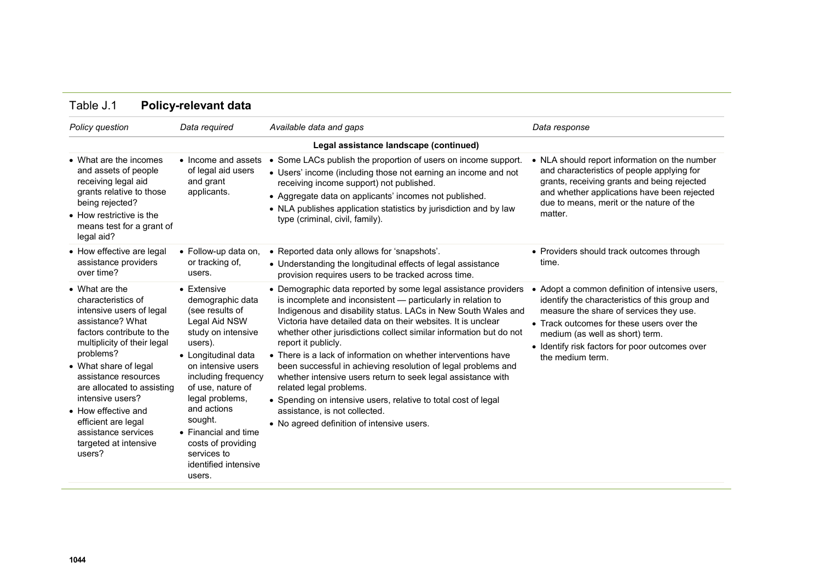| Policy question                                                                                                                                                                                                                                                                                                                                                          | Data required                                                                                                                                                                                                                                                                                                                                     | Available data and gaps                                                                                                                                                                                                                                                                                                                                                                                                                                                                                                                                                                                                                                                                                                                     | Data response                                                                                                                                                                                                                                                                                    |
|--------------------------------------------------------------------------------------------------------------------------------------------------------------------------------------------------------------------------------------------------------------------------------------------------------------------------------------------------------------------------|---------------------------------------------------------------------------------------------------------------------------------------------------------------------------------------------------------------------------------------------------------------------------------------------------------------------------------------------------|---------------------------------------------------------------------------------------------------------------------------------------------------------------------------------------------------------------------------------------------------------------------------------------------------------------------------------------------------------------------------------------------------------------------------------------------------------------------------------------------------------------------------------------------------------------------------------------------------------------------------------------------------------------------------------------------------------------------------------------------|--------------------------------------------------------------------------------------------------------------------------------------------------------------------------------------------------------------------------------------------------------------------------------------------------|
|                                                                                                                                                                                                                                                                                                                                                                          |                                                                                                                                                                                                                                                                                                                                                   | Legal assistance landscape (continued)                                                                                                                                                                                                                                                                                                                                                                                                                                                                                                                                                                                                                                                                                                      |                                                                                                                                                                                                                                                                                                  |
| • What are the incomes<br>and assets of people<br>receiving legal aid<br>grants relative to those<br>being rejected?<br>• How restrictive is the<br>means test for a grant of<br>legal aid?                                                                                                                                                                              | • Income and assets<br>of legal aid users<br>and grant<br>applicants.                                                                                                                                                                                                                                                                             | • Some LACs publish the proportion of users on income support.<br>• Users' income (including those not earning an income and not<br>receiving income support) not published.<br>• Aggregate data on applicants' incomes not published.<br>• NLA publishes application statistics by jurisdiction and by law<br>type (criminal, civil, family).                                                                                                                                                                                                                                                                                                                                                                                              | • NLA should report information on the number<br>and characteristics of people applying for<br>grants, receiving grants and being rejected<br>and whether applications have been rejected<br>due to means, merit or the nature of the<br>matter.                                                 |
| • How effective are legal<br>assistance providers<br>over time?                                                                                                                                                                                                                                                                                                          | • Follow-up data on,<br>or tracking of,<br>users.                                                                                                                                                                                                                                                                                                 | • Reported data only allows for 'snapshots'.<br>• Understanding the longitudinal effects of legal assistance<br>provision requires users to be tracked across time.                                                                                                                                                                                                                                                                                                                                                                                                                                                                                                                                                                         | • Providers should track outcomes through<br>time.                                                                                                                                                                                                                                               |
| • What are the<br>characteristics of<br>intensive users of legal<br>assistance? What<br>factors contribute to the<br>multiplicity of their legal<br>problems?<br>• What share of legal<br>assistance resources<br>are allocated to assisting<br>intensive users?<br>• How effective and<br>efficient are legal<br>assistance services<br>targeted at intensive<br>users? | $\bullet$ Extensive<br>demographic data<br>(see results of<br>Legal Aid NSW<br>study on intensive<br>users).<br>• Longitudinal data<br>on intensive users<br>including frequency<br>of use, nature of<br>legal problems,<br>and actions<br>sought.<br>• Financial and time<br>costs of providing<br>services to<br>identified intensive<br>users. | • Demographic data reported by some legal assistance providers<br>is incomplete and inconsistent - particularly in relation to<br>Indigenous and disability status. LACs in New South Wales and<br>Victoria have detailed data on their websites. It is unclear<br>whether other jurisdictions collect similar information but do not<br>report it publicly.<br>• There is a lack of information on whether interventions have<br>been successful in achieving resolution of legal problems and<br>whether intensive users return to seek legal assistance with<br>related legal problems.<br>• Spending on intensive users, relative to total cost of legal<br>assistance, is not collected.<br>• No agreed definition of intensive users. | Adopt a common definition of intensive users,<br>identify the characteristics of this group and<br>measure the share of services they use.<br>• Track outcomes for these users over the<br>medium (as well as short) term.<br>• Identify risk factors for poor outcomes over<br>the medium term. |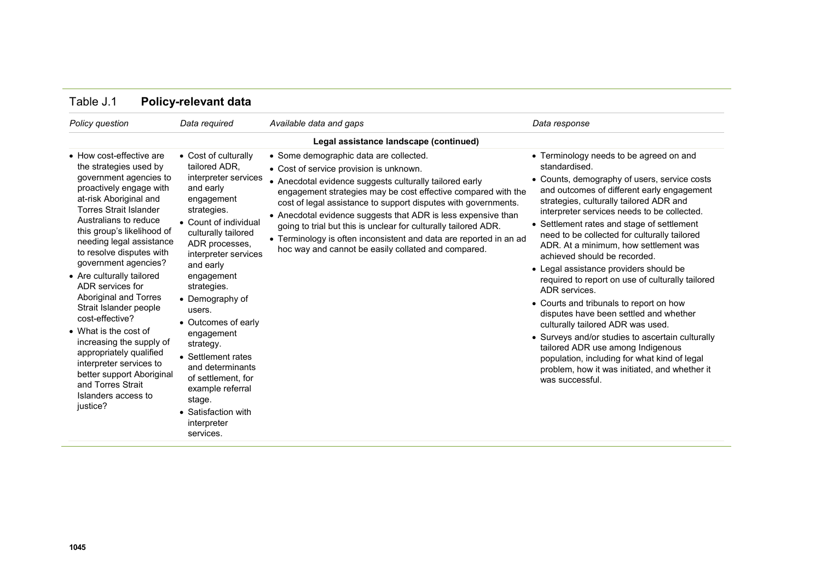| Policy question                                                                                                                                                                                                                                                                                                                                                                                                                                                                                                                                                                                                                  | Data required                                                                                                                                                                                                                                                                                                                                                                                                                                                               | Available data and gaps                                                                                                                                                                                                                                                                                                                                                                                                                                                                                                                          | Data response                                                                                                                                                                                                                                                                                                                                                                                                                                                                                                                                                                                                                                                                                                                                                                                                                                                                 |
|----------------------------------------------------------------------------------------------------------------------------------------------------------------------------------------------------------------------------------------------------------------------------------------------------------------------------------------------------------------------------------------------------------------------------------------------------------------------------------------------------------------------------------------------------------------------------------------------------------------------------------|-----------------------------------------------------------------------------------------------------------------------------------------------------------------------------------------------------------------------------------------------------------------------------------------------------------------------------------------------------------------------------------------------------------------------------------------------------------------------------|--------------------------------------------------------------------------------------------------------------------------------------------------------------------------------------------------------------------------------------------------------------------------------------------------------------------------------------------------------------------------------------------------------------------------------------------------------------------------------------------------------------------------------------------------|-------------------------------------------------------------------------------------------------------------------------------------------------------------------------------------------------------------------------------------------------------------------------------------------------------------------------------------------------------------------------------------------------------------------------------------------------------------------------------------------------------------------------------------------------------------------------------------------------------------------------------------------------------------------------------------------------------------------------------------------------------------------------------------------------------------------------------------------------------------------------------|
|                                                                                                                                                                                                                                                                                                                                                                                                                                                                                                                                                                                                                                  |                                                                                                                                                                                                                                                                                                                                                                                                                                                                             | Legal assistance landscape (continued)                                                                                                                                                                                                                                                                                                                                                                                                                                                                                                           |                                                                                                                                                                                                                                                                                                                                                                                                                                                                                                                                                                                                                                                                                                                                                                                                                                                                               |
| • How cost-effective are<br>the strategies used by<br>government agencies to<br>proactively engage with<br>at-risk Aboriginal and<br><b>Torres Strait Islander</b><br>Australians to reduce<br>this group's likelihood of<br>needing legal assistance<br>to resolve disputes with<br>government agencies?<br>• Are culturally tailored<br>ADR services for<br>Aboriginal and Torres<br>Strait Islander people<br>cost-effective?<br>• What is the cost of<br>increasing the supply of<br>appropriately qualified<br>interpreter services to<br>better support Aboriginal<br>and Torres Strait<br>Islanders access to<br>justice? | • Cost of culturally<br>tailored ADR.<br>interpreter services<br>and early<br>engagement<br>strategies.<br>• Count of individual<br>culturally tailored<br>ADR processes.<br>interpreter services<br>and early<br>engagement<br>strategies.<br>• Demography of<br>users.<br>• Outcomes of early<br>engagement<br>strategy.<br>• Settlement rates<br>and determinants<br>of settlement, for<br>example referral<br>stage.<br>• Satisfaction with<br>interpreter<br>services. | • Some demographic data are collected.<br>• Cost of service provision is unknown.<br>• Anecdotal evidence suggests culturally tailored early<br>engagement strategies may be cost effective compared with the<br>cost of legal assistance to support disputes with governments.<br>• Anecdotal evidence suggests that ADR is less expensive than<br>going to trial but this is unclear for culturally tailored ADR.<br>• Terminology is often inconsistent and data are reported in an ad<br>hoc way and cannot be easily collated and compared. | • Terminology needs to be agreed on and<br>standardised.<br>• Counts, demography of users, service costs<br>and outcomes of different early engagement<br>strategies, culturally tailored ADR and<br>interpreter services needs to be collected.<br>• Settlement rates and stage of settlement<br>need to be collected for culturally tailored<br>ADR. At a minimum, how settlement was<br>achieved should be recorded.<br>• Legal assistance providers should be<br>required to report on use of culturally tailored<br>ADR services.<br>• Courts and tribunals to report on how<br>disputes have been settled and whether<br>culturally tailored ADR was used.<br>• Surveys and/or studies to ascertain culturally<br>tailored ADR use among Indigenous<br>population, including for what kind of legal<br>problem, how it was initiated, and whether it<br>was successful. |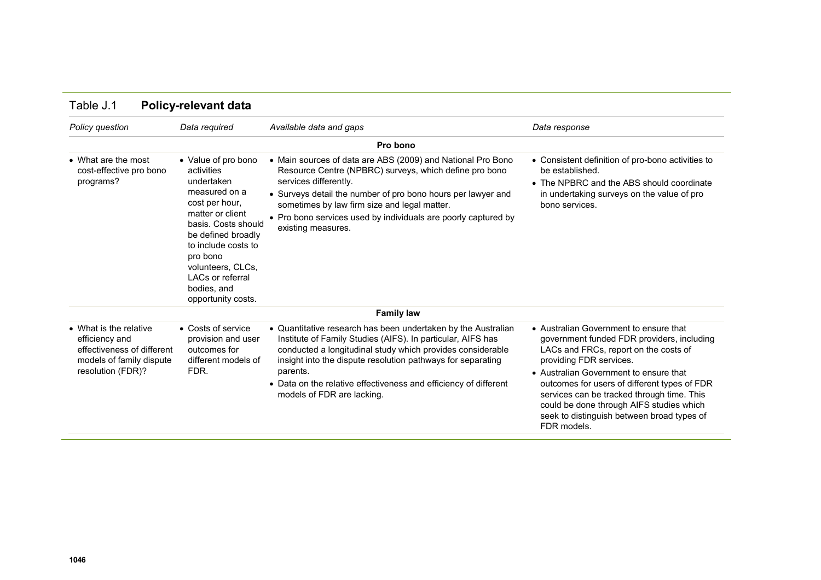| Policy question                                                                                                         | Data required                                                                                                                                                                                                                                                               | Available data and gaps                                                                                                                                                                                                                                                                                                                                                 | Data response                                                                                                                                                                                                                                                                                                                                                                                             |
|-------------------------------------------------------------------------------------------------------------------------|-----------------------------------------------------------------------------------------------------------------------------------------------------------------------------------------------------------------------------------------------------------------------------|-------------------------------------------------------------------------------------------------------------------------------------------------------------------------------------------------------------------------------------------------------------------------------------------------------------------------------------------------------------------------|-----------------------------------------------------------------------------------------------------------------------------------------------------------------------------------------------------------------------------------------------------------------------------------------------------------------------------------------------------------------------------------------------------------|
|                                                                                                                         |                                                                                                                                                                                                                                                                             | Pro bono                                                                                                                                                                                                                                                                                                                                                                |                                                                                                                                                                                                                                                                                                                                                                                                           |
| • What are the most<br>cost-effective pro bono<br>programs?                                                             | • Value of pro bono<br>activities<br>undertaken<br>measured on a<br>cost per hour,<br>matter or client<br>basis. Costs should<br>be defined broadly<br>to include costs to<br>pro bono<br>volunteers, CLCs,<br><b>LACs or referral</b><br>bodies, and<br>opportunity costs. | • Main sources of data are ABS (2009) and National Pro Bono<br>Resource Centre (NPBRC) surveys, which define pro bono<br>services differently.<br>• Surveys detail the number of pro bono hours per lawyer and<br>sometimes by law firm size and legal matter.<br>• Pro bono services used by individuals are poorly captured by<br>existing measures.                  | • Consistent definition of pro-bono activities to<br>be established.<br>• The NPBRC and the ABS should coordinate<br>in undertaking surveys on the value of pro<br>bono services.                                                                                                                                                                                                                         |
|                                                                                                                         |                                                                                                                                                                                                                                                                             | <b>Family law</b>                                                                                                                                                                                                                                                                                                                                                       |                                                                                                                                                                                                                                                                                                                                                                                                           |
| • What is the relative<br>efficiency and<br>effectiveness of different<br>models of family dispute<br>resolution (FDR)? | • Costs of service<br>provision and user<br>outcomes for<br>different models of<br>FDR.                                                                                                                                                                                     | • Quantitative research has been undertaken by the Australian<br>Institute of Family Studies (AIFS). In particular, AIFS has<br>conducted a longitudinal study which provides considerable<br>insight into the dispute resolution pathways for separating<br>parents.<br>• Data on the relative effectiveness and efficiency of different<br>models of FDR are lacking. | • Australian Government to ensure that<br>government funded FDR providers, including<br>LACs and FRCs, report on the costs of<br>providing FDR services.<br>• Australian Government to ensure that<br>outcomes for users of different types of FDR<br>services can be tracked through time. This<br>could be done through AIFS studies which<br>seek to distinguish between broad types of<br>FDR models. |